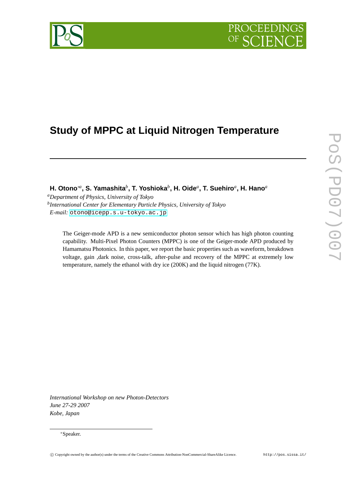# PROCEEDI



# **Study of MPPC at Liquid Nitrogen Temperature**

**H. Otono**∗*<sup>a</sup>* **, S. Yamashita***<sup>b</sup>* **, T. Yoshioka***<sup>b</sup>* **, H. Oide***<sup>a</sup>* **, T. Suehiro***<sup>a</sup>* **, H. Hano***<sup>a</sup>*

*<sup>a</sup>Department of Physics, University of Tokyo b International Center for Elementary Particle Physics, University of Tokyo E-mail:* [otono@icepp.s.u-tokyo.ac.jp](mailto:otono@icepp.s.u-tokyo.ac.jp)

The Geiger-mode APD is a new semiconductor photon sensor which has high photon counting capability. Multi-Pixel Photon Counters (MPPC) is one of the Geiger-mode APD produced by Hamamatsu Photonics. In this paper, we report the basic properties such as waveform, breakdown voltage, gain ,dark noise, cross-talk, after-pulse and recovery of the MPPC at extremely low temperature, namely the ethanol with dry ice (200K) and the liquid nitrogen (77K).

*International Workshop on new Photon-Detectors June 27-29 2007 Kobe, Japan*

#### <sup>∗</sup>Speaker.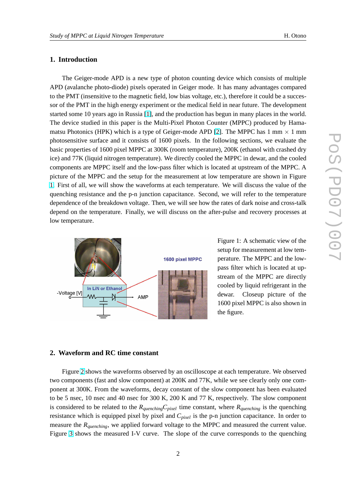## **1. Introduction**

The Geiger-mode APD is a new type of photon counting device which consists of multiple APD (avalanche photo-diode) pixels operated in Geiger mode. It has many advantages compared to the PMT (insensitive to the magnetic field, low bias voltage, etc.), therefore it could be a successor of the PMT in the high energy experiment or the medical field in near future. The development started some 10 years ago in Russia [\[1\]](#page-5-0), and the production has begun in many places in the world. The device studied in this paper is the Multi-Pixel Photon Counter (MPPC) produced by Hama-matsu Photonics (HPK) which is a type of Geiger-mode APD [\[2\]](#page-5-0). The MPPC has 1 mm  $\times$  1 mm photosensitive surface and it consists of 1600 pixels. In the following sections, we evaluate the basic properties of 1600 pixel MPPC at 300K (room temperature), 200K (ethanol with crashed dry ice) and 77K (liquid nitrogen temperature). We directly cooled the MPPC in dewar, and the cooled components are MPPC itself and the low-pass filter which is located at upstream of the MPPC. A picture of the MPPC and the setup for the measurement at low temperature are shown in Figure 1. First of all, we will show the waveforms at each temperature. We will discuss the value of the quenching resistance and the p-n junction capacitance. Second, we will refer to the temperature dependence of the breakdown voltage. Then, we will see how the rates of dark noise and cross-talk depend on the temperature. Finally, we will discuss on the after-pulse and recovery processes at low temperature.



Figure 1: A schematic view of the setup for measurement at low temperature. The MPPC and the lowpass filter which is located at upstream of the MPPC are directly cooled by liquid refrigerant in the dewar. Closeup picture of the 1600 pixel MPPC is also shown in the figure.

## **2. Waveform and RC time constant**

Figure [2](#page-2-0) shows the waveforms observed by an oscilloscope at each temperature. We observed two components (fast and slow component) at 200K and 77K, while we see clearly only one component at 300K. From the waveforms, decay constant of the slow component has been evaluated to be 5 nsec, 10 nsec and 40 nsec for 300 K, 200 K and 77 K, respectively. The slow component is considered to be related to the  $R_{quenching}C_{pixel}$  time constant, where  $R_{quenching}$  is the quenching resistance which is equipped pixel by pixel and *Cpixel* is the p-n junction capacitance. In order to measure the *Rquenching*, we applied forward voltage to the MPPC and measured the current value. Figure [3](#page-2-0) shows the measured I-V curve. The slope of the curve corresponds to the quenching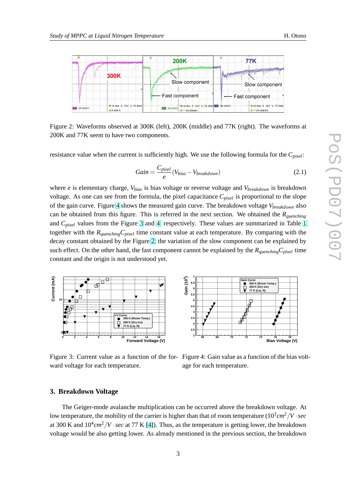<span id="page-2-0"></span>

Figure 2: Waveforms observed at 300K (left), 200K (middle) and 77K (right). The waveforms at 200K and 77K seem to have two components.

resistance value when the current is sufficiently high. We use the following formula for the *Cpixel*:

$$
Gain = \frac{C_{pixel}}{e} (V_{bias} - V_{breakdown})
$$
\n(2.1)

where *e* is elementary charge, *Vbias* is bias voltage or reverse voltage and *Vbreakdown* is breakdown voltage. As one can see from the formula, the pixel capacitance *Cpixel* is proportional to the slope of the gain curve. Figure 4 shows the measured gain curve. The breakdown voltage *Vbreakdown* also can be obtained from this figure. This is referred in the next section. We obtained the *Rquenching* and *Cpixel* values from the Figure 3 and 4, respectively. These values are summarized in Table [1](#page-3-0) together with the *RquenchingCpixel* time constant value at each temperature. By comparing with the decay constant obtained by the Figure 2, the variation of the slow component can be explained by such effect. On the other hand, the fast component cannot be explained by the *RquenchingCpixel* time constant and the origin is not understood yet.





ward voltage for each temperature.

Figure 3: Current value as a function of the for- Figure 4: Gain value as a function of the bias voltage for each temperature.

#### **3. Breakdown Voltage**

The Geiger-mode avalanche multiplication can be occurred above the breakdown voltage. At low temperature, the mobility of the carrier is higher than that of room temperature (10<sup>3</sup> *cm*2/*V* ·*sec* at 300 K and  $10^4$ *cm*<sup>2</sup>/*V* · *sec* at 77 K [\[4\]](#page-5-0)). Thus, as the temperature is getting lower, the breakdown voltage would be also getting lower. As already mentioned in the previous section, the breakdown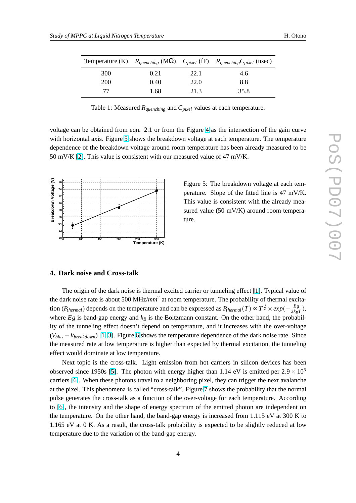<span id="page-3-0"></span>

|            |      |      | Temperature (K) $R_{quenching}$ (M $\Omega$ ) $C_{pixel}$ (fF) $R_{quenching}C_{pixel}$ (nsec) |
|------------|------|------|------------------------------------------------------------------------------------------------|
| 300        | 0.21 | 22.1 | 4.6                                                                                            |
| <b>200</b> | 0.40 | 22.0 | 8.8                                                                                            |
| 77         | 1.68 | 21.3 | 35.8                                                                                           |

Table 1: Measured *Rquenching* and *Cpixel* values at each temperature.

voltage can be obtained from eqn. 2.1 or from the Figure [4](#page-2-0) as the intersection of the gain curve with horizontal axis. Figure 5 shows the breakdown voltage at each temperature. The temperature dependence of the breakdown voltage around room temperature has been already measured to be 50 mV/K [\[2\]](#page-5-0). This value is consistent with our measured value of 47 mV/K.



Figure 5: The breakdown voltage at each temperature. Slope of the fitted line is 47 mV/K. This value is consistent with the already measured value (50 mV/K) around room temperature.

#### **4. Dark noise and Cross-talk**

The origin of the dark noise is thermal excited carrier or tunneling effect [\[1\]](#page-5-0). Typical value of the dark noise rate is about 500 MHz/*mm*<sup>2</sup> at room temperature. The probability of thermal excitation (*P*<sub>thermal</sub>) depends on the temperature and can be expressed as  $P_{thermal}(T) \propto T^{\frac{3}{2}} \times exp(-\frac{Eg}{2k_B})$  $\frac{Eg}{2k_BT}$ ), where  $Eg$  is band-gap energy and  $k_B$  is the Boltzmann constant. On the other hand, the probability of the tunneling effect doesn't depend on temperature, and it increases with the over-voltage (*Vbias* −*Vbreakdown*) [\[1,](#page-5-0) [3\]](#page-5-0). Figure [6](#page-4-0) shows the temperature dependence of the dark noise rate. Since the measured rate at low temperature is higher than expected by thermal excitation, the tunneling effect would dominate at low temperature.

Next topic is the cross-talk. Light emission from hot carriers in silicon devices has been observed since 1950s [\[5\]](#page-5-0). The photon with energy higher than 1.14 eV is emitted per  $2.9 \times 10^5$ carriers [\[6\]](#page-5-0). When these photons travel to a neighboring pixel, they can trigger the next avalanche at the pixel. This phenomena is called "cross-talk". Figure [7](#page-4-0) shows the probability that the normal pulse generates the cross-talk as a function of the over-voltage for each temperature. According to [\[6\]](#page-5-0), the intensity and the shape of energy spectrum of the emitted photon are independent on the temperature. On the other hand, the band-gap energy is increased from 1.115 eV at 300 K to 1.165 eV at 0 K. As a result, the cross-talk probability is expected to be slightly reduced at low temperature due to the variation of the band-gap energy.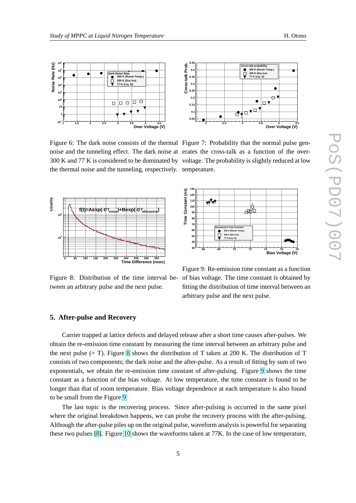<span id="page-4-0"></span>

Figure 6: The dark noise consists of the thermal Figure 7: Probability that the normal pulse gennoise and the tunneling effect. The dark noise at erates the cross-talk as a function of the over-300 K and 77 K is considered to be dominated by voltage. The probability is slightly reduced at low the thermal noise and the tunneling, respectively. temperature.



tween an arbitrary pulse and the next pulse.



**130** Constant (ns) **Time Constant (ns) 120**  $\vec{v}$ **110 100** சூப் **90** Time **80 70 Re-emission Time Constsnt 300 K (Room Temp.) 60 200 K (Dry Ice) 77 K (Liq. N) 50 40**

Figure 8: Distribution of the time interval be-of bias voltage. The time constant is obtained by Figure 9: Re-emission time constant as a function fitting the distribution of time interval between an arbitrary pulse and the next pulse.

**Bias Voltage (V) 66 68 70 72 74 76 78**

# **5. After-pulse and Recovery**

Carrier trapped at lattice defects and delayed release after a short time causes after-pulses. We obtain the re-emission time constant by measuring the time interval between an arbitrary pulse and the next pulse (= T). Figure 8 shows the distribution of T taken at 200 K. The distribution of T consists of two components; the dark noise and the after-pulse. As a result of fitting by sum of two exponentials, we obtain the re-emission time constant of after-pulsing. Figure 9 shows the time constant as a function of the bias voltage. At low temperature, the time constant is found to be longer than that of room temperature. Bias voltage dependence at each temperature is also found to be small from the Figure 9.

**30**

The last topic is the recovering process. Since after-pulsing is occurred in the same pixel where the original breakdown happens, we can probe the recovery process with the after-pulsing. Although the after-pulse piles up on the original pulse, waveform analysis is powerful for separating these two pulses [\[8\]](#page-5-0). Figure [10](#page-5-0) shows the waveforms taken at 77K. In the case of low temperature,